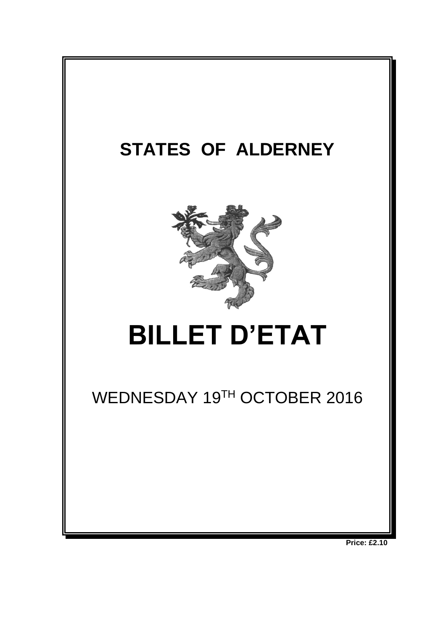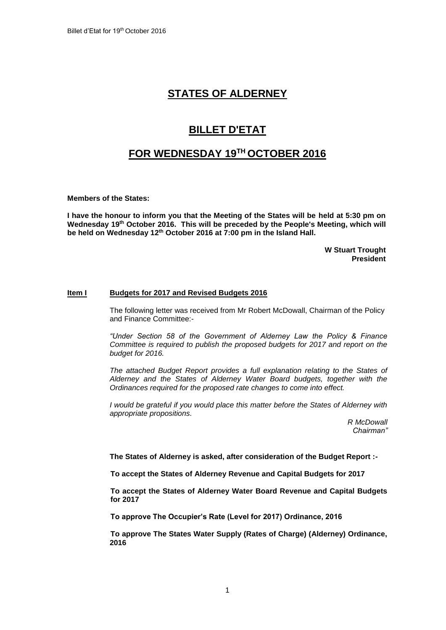## **STATES OF ALDERNEY**

# **BILLET D'ETAT**

## **FOR WEDNESDAY 19 TH OCTOBER 2016**

**Members of the States:**

**I have the honour to inform you that the Meeting of the States will be held at 5:30 pm on**  Wednesday 19<sup>th</sup> October 2016. This will be preceded by the People's Meeting, which will **be held on Wednesday 12th October 2016 at 7:00 pm in the Island Hall.** 

> **W Stuart Trought President**

#### **Item I Budgets for 2017 and Revised Budgets 2016**

The following letter was received from Mr Robert McDowall, Chairman of the Policy and Finance Committee:-

*"Under Section 58 of the Government of Alderney Law the Policy & Finance Committee is required to publish the proposed budgets for 2017 and report on the budget for 2016.* 

*The attached Budget Report provides a full explanation relating to the States of Alderney and the States of Alderney Water Board budgets, together with the Ordinances required for the proposed rate changes to come into effect.* 

*I would be grateful if you would place this matter before the States of Alderney with appropriate propositions.*

> *R McDowall Chairman"*

**The States of Alderney is asked, after consideration of the Budget Report :-**

**To accept the States of Alderney Revenue and Capital Budgets for 2017**

**To accept the States of Alderney Water Board Revenue and Capital Budgets for 2017**

**To approve The Occupier's Rate (Level for 2017) Ordinance, 2016**

**To approve The States Water Supply (Rates of Charge) (Alderney) Ordinance, 2016**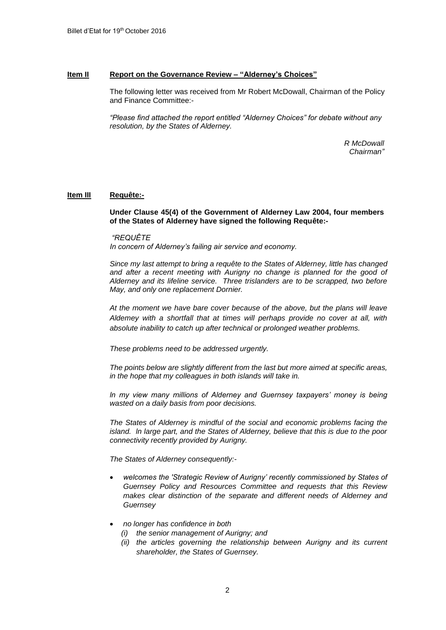### **Item II Report on the Governance Review – "Alderney's Choices"**

The following letter was received from Mr Robert McDowall, Chairman of the Policy and Finance Committee:-

*"Please find attached the report entitled "Alderney Choices" for debate without any resolution, by the States of Alderney.*

> *R McDowall Chairman"*

### **Item III Requête:-**

**Under Clause 45(4) of the Government of Alderney Law 2004, four members of the States of Alderney have signed the following Requête:-**

*"REQUÊTE In concern of Alderney's failing air service and economy.*

*Since my last attempt to bring a requête to the States of Alderney, little has changed*  and after a recent meeting with Aurigny no change is planned for the good of *Alderney and its lifeline service. Three trislanders are to be scrapped, two before May, and only one replacement Dornier.*

*At the moment we have bare cover because of the above, but the plans will leave Aldemey with a shortfall that at times will perhaps provide no cover at all, with absolute inability to catch up after technical or prolonged weather problems.*

*These problems need to be addressed urgently.*

*The points below are slightly different from the last but more aimed at specific areas, in the hope that my colleagues in both islands will take in.*

*ln my view many millions of Alderney and Guernsey taxpayers' money is being wasted on a daily basis from poor decisions.*

*The States of Alderney is mindful of the social and economic problems facing the island. ln large part, and the States of Alderney, believe that this is due to the poor connectivity recently provided by Aurigny.*

*The States of Alderney consequently:-*

- *welcomes the 'Strategic Review of Aurigny' recently commissioned by States of Guernsey Policy and Resources Committee and requests that this Review makes clear distinction of the separate and different needs of Alderney and Guernsey*
- *no longer has confidence in both* 
	- *(i) the senior management of Aurigny; and*
	- *(ii) the articles governing the relationship between Aurigny and its current shareholder, the States of Guernsey.*